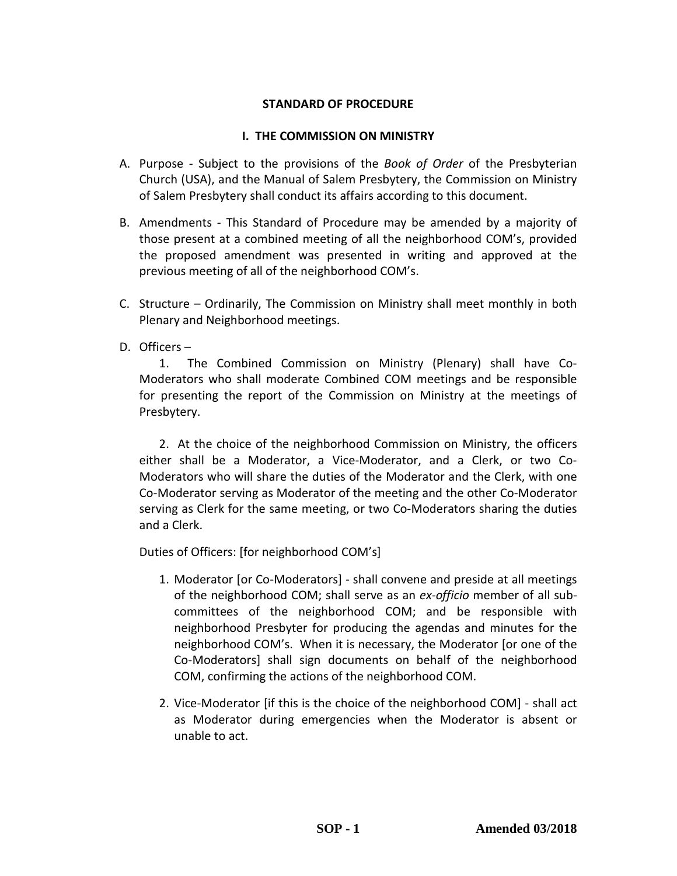### **STANDARD OF PROCEDURE**

### **I. THE COMMISSION ON MINISTRY**

- A. Purpose Subject to the provisions of the *Book of Order* of the Presbyterian Church (USA), and the Manual of Salem Presbytery, the Commission on Ministry of Salem Presbytery shall conduct its affairs according to this document.
- B. Amendments This Standard of Procedure may be amended by a majority of those present at a combined meeting of all the neighborhood COM's, provided the proposed amendment was presented in writing and approved at the previous meeting of all of the neighborhood COM's.
- C. Structure Ordinarily, The Commission on Ministry shall meet monthly in both Plenary and Neighborhood meetings.
- D. Officers –

1. The Combined Commission on Ministry (Plenary) shall have Co-Moderators who shall moderate Combined COM meetings and be responsible for presenting the report of the Commission on Ministry at the meetings of Presbytery.

2. At the choice of the neighborhood Commission on Ministry, the officers either shall be a Moderator, a Vice-Moderator, and a Clerk, or two Co-Moderators who will share the duties of the Moderator and the Clerk, with one Co-Moderator serving as Moderator of the meeting and the other Co-Moderator serving as Clerk for the same meeting, or two Co-Moderators sharing the duties and a Clerk.

Duties of Officers: [for neighborhood COM's]

- 1. Moderator [or Co-Moderators] shall convene and preside at all meetings of the neighborhood COM; shall serve as an *ex-officio* member of all subcommittees of the neighborhood COM; and be responsible with neighborhood Presbyter for producing the agendas and minutes for the neighborhood COM's. When it is necessary, the Moderator [or one of the Co-Moderators] shall sign documents on behalf of the neighborhood COM, confirming the actions of the neighborhood COM.
- 2. Vice-Moderator [if this is the choice of the neighborhood COM] shall act as Moderator during emergencies when the Moderator is absent or unable to act.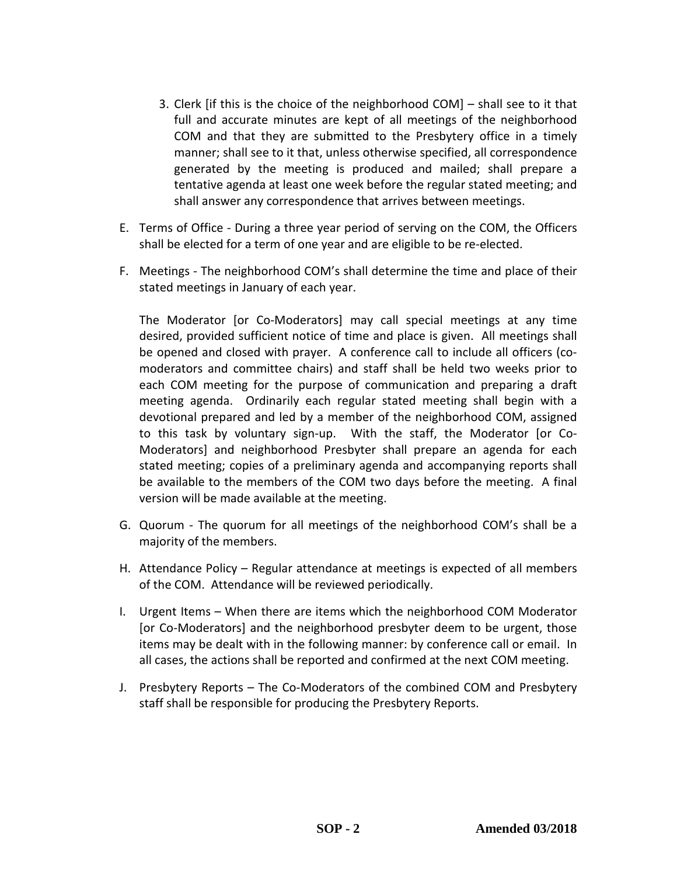- 3. Clerk [if this is the choice of the neighborhood COM] shall see to it that full and accurate minutes are kept of all meetings of the neighborhood COM and that they are submitted to the Presbytery office in a timely manner; shall see to it that, unless otherwise specified, all correspondence generated by the meeting is produced and mailed; shall prepare a tentative agenda at least one week before the regular stated meeting; and shall answer any correspondence that arrives between meetings.
- E. Terms of Office During a three year period of serving on the COM, the Officers shall be elected for a term of one year and are eligible to be re-elected.
- F. Meetings The neighborhood COM's shall determine the time and place of their stated meetings in January of each year.

The Moderator [or Co-Moderators] may call special meetings at any time desired, provided sufficient notice of time and place is given. All meetings shall be opened and closed with prayer. A conference call to include all officers (comoderators and committee chairs) and staff shall be held two weeks prior to each COM meeting for the purpose of communication and preparing a draft meeting agenda. Ordinarily each regular stated meeting shall begin with a devotional prepared and led by a member of the neighborhood COM, assigned to this task by voluntary sign-up. With the staff, the Moderator [or Co-Moderators] and neighborhood Presbyter shall prepare an agenda for each stated meeting; copies of a preliminary agenda and accompanying reports shall be available to the members of the COM two days before the meeting. A final version will be made available at the meeting.

- G. Quorum The quorum for all meetings of the neighborhood COM's shall be a majority of the members.
- H. Attendance Policy Regular attendance at meetings is expected of all members of the COM. Attendance will be reviewed periodically.
- I. Urgent Items When there are items which the neighborhood COM Moderator [or Co-Moderators] and the neighborhood presbyter deem to be urgent, those items may be dealt with in the following manner: by conference call or email. In all cases, the actions shall be reported and confirmed at the next COM meeting.
- J. Presbytery Reports The Co-Moderators of the combined COM and Presbytery staff shall be responsible for producing the Presbytery Reports.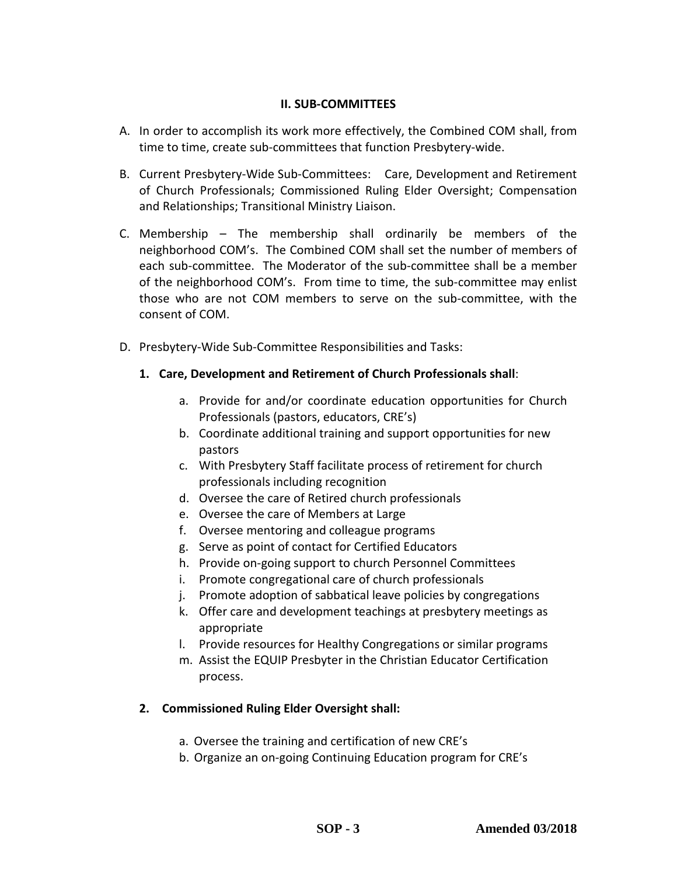### **II. SUB-COMMITTEES**

- A. In order to accomplish its work more effectively, the Combined COM shall, from time to time, create sub-committees that function Presbytery-wide.
- B. Current Presbytery-Wide Sub-Committees: Care, Development and Retirement of Church Professionals; Commissioned Ruling Elder Oversight; Compensation and Relationships; Transitional Ministry Liaison.
- C. Membership The membership shall ordinarily be members of the neighborhood COM's. The Combined COM shall set the number of members of each sub-committee. The Moderator of the sub-committee shall be a member of the neighborhood COM's. From time to time, the sub-committee may enlist those who are not COM members to serve on the sub-committee, with the consent of COM.
- D. Presbytery-Wide Sub-Committee Responsibilities and Tasks:
	- **1. Care, Development and Retirement of Church Professionals shall**:
		- a. Provide for and/or coordinate education opportunities for Church Professionals (pastors, educators, CRE's)
		- b. Coordinate additional training and support opportunities for new pastors
		- c. With Presbytery Staff facilitate process of retirement for church professionals including recognition
		- d. Oversee the care of Retired church professionals
		- e. Oversee the care of Members at Large
		- f. Oversee mentoring and colleague programs
		- g. Serve as point of contact for Certified Educators
		- h. Provide on-going support to church Personnel Committees
		- i. Promote congregational care of church professionals
		- j. Promote adoption of sabbatical leave policies by congregations
		- k. Offer care and development teachings at presbytery meetings as appropriate
		- l. Provide resources for Healthy Congregations or similar programs
		- m. Assist the EQUIP Presbyter in the Christian Educator Certification process.

## **2. Commissioned Ruling Elder Oversight shall:**

- a. Oversee the training and certification of new CRE's
- b. Organize an on-going Continuing Education program for CRE's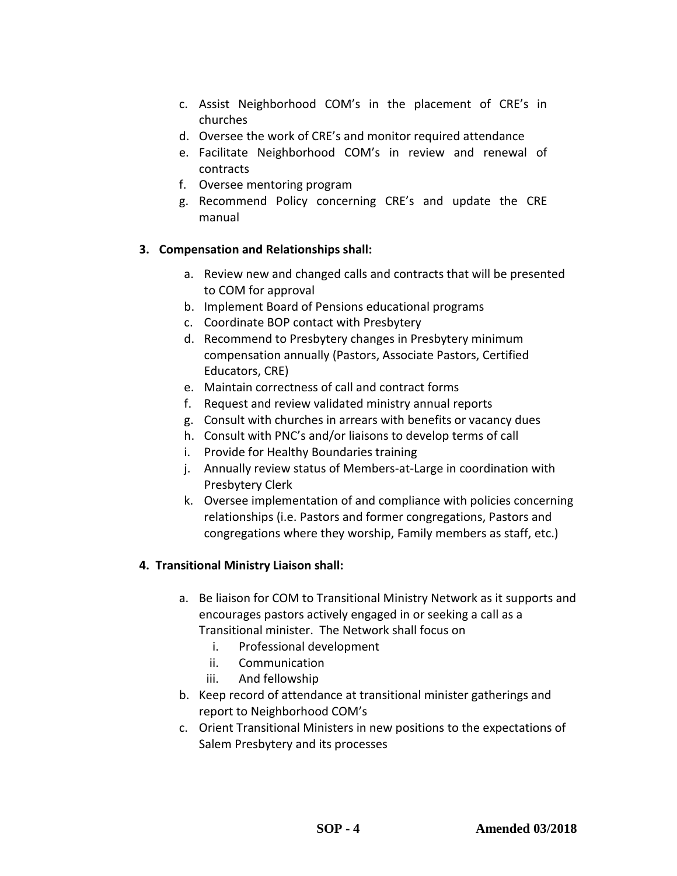- c. Assist Neighborhood COM's in the placement of CRE's in churches
- d. Oversee the work of CRE's and monitor required attendance
- e. Facilitate Neighborhood COM's in review and renewal of contracts
- f. Oversee mentoring program
- g. Recommend Policy concerning CRE's and update the CRE manual

## **3. Compensation and Relationships shall:**

- a. Review new and changed calls and contracts that will be presented to COM for approval
- b. Implement Board of Pensions educational programs
- c. Coordinate BOP contact with Presbytery
- d. Recommend to Presbytery changes in Presbytery minimum compensation annually (Pastors, Associate Pastors, Certified Educators, CRE)
- e. Maintain correctness of call and contract forms
- f. Request and review validated ministry annual reports
- g. Consult with churches in arrears with benefits or vacancy dues
- h. Consult with PNC's and/or liaisons to develop terms of call
- i. Provide for Healthy Boundaries training
- j. Annually review status of Members-at-Large in coordination with Presbytery Clerk
- k. Oversee implementation of and compliance with policies concerning relationships (i.e. Pastors and former congregations, Pastors and congregations where they worship, Family members as staff, etc.)

# **4. Transitional Ministry Liaison shall:**

- a. Be liaison for COM to Transitional Ministry Network as it supports and encourages pastors actively engaged in or seeking a call as a Transitional minister. The Network shall focus on
	- i. Professional development
	- ii. Communication
	- iii. And fellowship
- b. Keep record of attendance at transitional minister gatherings and report to Neighborhood COM's
- c. Orient Transitional Ministers in new positions to the expectations of Salem Presbytery and its processes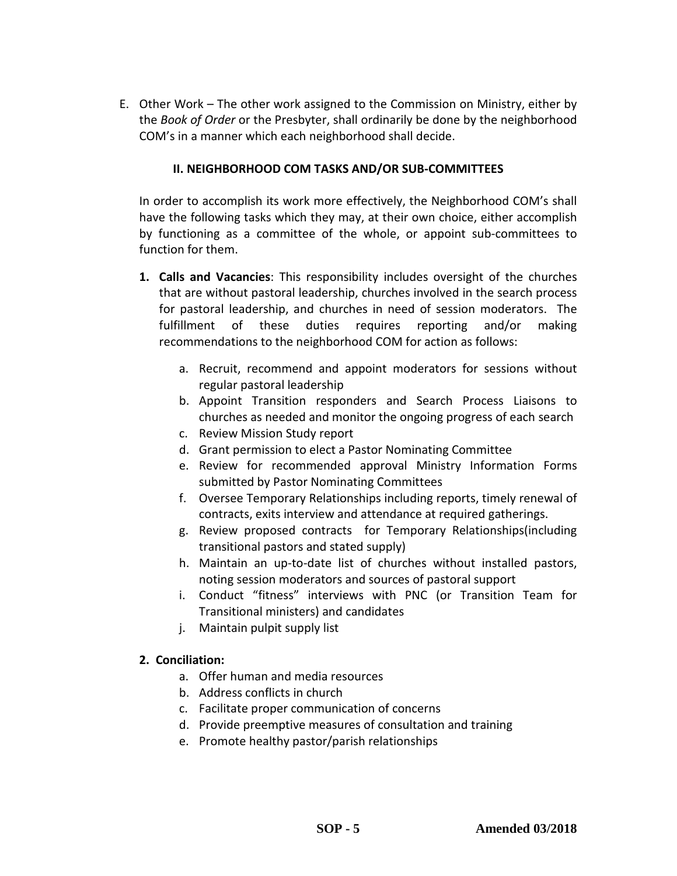E. Other Work – The other work assigned to the Commission on Ministry, either by the *Book of Order* or the Presbyter, shall ordinarily be done by the neighborhood COM's in a manner which each neighborhood shall decide.

### **II. NEIGHBORHOOD COM TASKS AND/OR SUB-COMMITTEES**

In order to accomplish its work more effectively, the Neighborhood COM's shall have the following tasks which they may, at their own choice, either accomplish by functioning as a committee of the whole, or appoint sub-committees to function for them.

- **1. Calls and Vacancies**: This responsibility includes oversight of the churches that are without pastoral leadership, churches involved in the search process for pastoral leadership, and churches in need of session moderators. The fulfillment of these duties requires reporting and/or making recommendations to the neighborhood COM for action as follows:
	- a. Recruit, recommend and appoint moderators for sessions without regular pastoral leadership
	- b. Appoint Transition responders and Search Process Liaisons to churches as needed and monitor the ongoing progress of each search
	- c. Review Mission Study report
	- d. Grant permission to elect a Pastor Nominating Committee
	- e. Review for recommended approval Ministry Information Forms submitted by Pastor Nominating Committees
	- f. Oversee Temporary Relationships including reports, timely renewal of contracts, exits interview and attendance at required gatherings.
	- g. Review proposed contracts for Temporary Relationships(including transitional pastors and stated supply)
	- h. Maintain an up-to-date list of churches without installed pastors, noting session moderators and sources of pastoral support
	- i. Conduct "fitness" interviews with PNC (or Transition Team for Transitional ministers) and candidates
	- j. Maintain pulpit supply list

## **2. Conciliation:**

- a. Offer human and media resources
- b. Address conflicts in church
- c. Facilitate proper communication of concerns
- d. Provide preemptive measures of consultation and training
- e. Promote healthy pastor/parish relationships